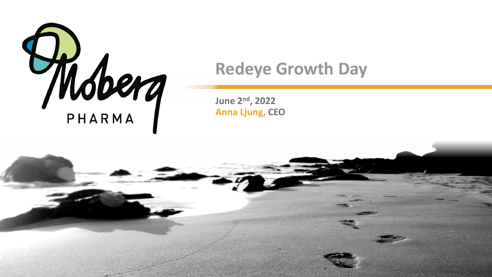

# **Redeye Growth Day**

**June 2nd, 2022 Anna Ljung, CEO**

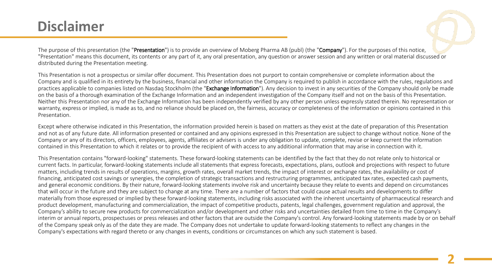#### **Disclaimer**

The purpose of this presentation (the "Presentation") is to provide an overview of Moberg Pharma AB (publ) (the "Company"). For the purposes of this notice, "Presentation" means this document, its contents or any part of it, any oral presentation, any question or answer session and any written or oral material discussed or distributed during the Presentation meeting.

This Presentation is not a prospectus or similar offer document. This Presentation does not purport to contain comprehensive or complete information about the Company and is qualified in its entirety by the business, financial and other information the Company is required to publish in accordance with the rules, regulations and practices applicable to companies listed on Nasdaq Stockholm (the "Exchange Information"). Any decision to invest in any securities of the Company should only be made on the basis of a thorough examination of the Exchange Information and an independent investigation of the Company itself and not on the basis of this Presentation. Neither this Presentation nor any of the Exchange Information has been independently verified by any other person unless expressly stated therein. No representation or warranty, express or implied, is made as to, and no reliance should be placed on, the fairness, accuracy or completeness of the information or opinions contained in this Presentation.

Except where otherwise indicated in this Presentation, the information provided herein is based on matters as they exist at the date of preparation of this Presentation and not as of any future date. All information presented or contained and any opinions expressed in this Presentation are subject to change without notice. None of the Company or any of its directors, officers, employees, agents, affiliates or advisers is under any obligation to update, complete, revise or keep current the information contained in this Presentation to which it relates or to provide the recipient of with access to any additional information that may arise in connection with it.

This Presentation contains "forward-looking" statements. These forward-looking statements can be identified by the fact that they do not relate only to historical or current facts. In particular, forward-looking statements include all statements that express forecasts, expectations, plans, outlook and projections with respect to future matters, including trends in results of operations, margins, growth rates, overall market trends, the impact of interest or exchange rates, the availability or cost of financing, anticipated cost savings or synergies, the completion of strategic transactions and restructuring programmes, anticipated tax rates, expected cash payments, and general economic conditions. By their nature, forward-looking statements involve risk and uncertainty because they relate to events and depend on circumstances that will occur in the future and they are subject to change at any time. There are a number of factors that could cause actual results and developments to differ materially from those expressed or implied by these forward-looking statements, including risks associated with the inherent uncertainty of pharmaceutical research and product development, manufacturing and commercialization, the impact of competitive products, patents, legal challenges, government regulation and approval, the Company's ability to secure new products for commercialization and/or development and other risks and uncertainties detailed from time to time in the Company's interim or annual reports, prospectuses or press releases and other factors that are outside the Company's control. Any forward-looking statements made by or on behalf of the Company speak only as of the date they are made. The Company does not undertake to update forward-looking statements to reflect any changes in the Company's expectations with regard thereto or any changes in events, conditions or circumstances on which any such statement is based.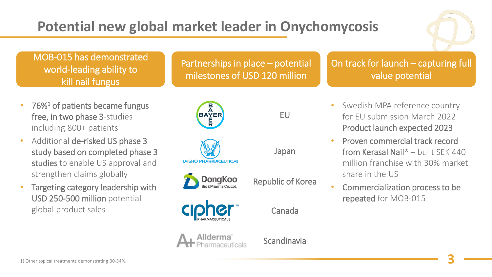# **Potential new global market leader in Onychomycosis**



#### MOB-015 has demonstrated world-leading ability to kill nail fungus

- $76\%$ <sup>1</sup> of patients became fungus free, in two phase 3-studies including 800+ patients
- Additional de-risked US phase 3 study based on completed phase 3 studies to enable US approval and strengthen claims globally
- Targeting category leadership with USD 250-500 million potential global product sales



#### On track for launch – capturing full value potential



EU

Japan

Republic of Korea



**TAISHO PHARMACEUTICAL** 

**DongKoo** 

Canada



Scandinavia

- Swedish MPA reference country for EU submission March 2022 Product launch expected 2023
- Proven commercial track record from Kerasal Nail® – built SEK 440 million franchise with 30% market share in the US
- Commercialization process to be repeated for MOB-015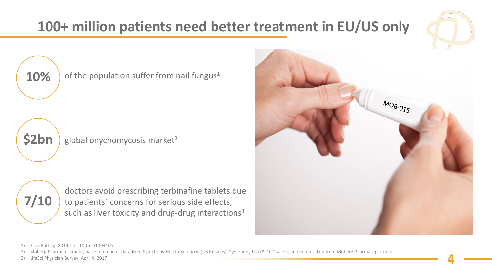# **100+ million patients need better treatment in EU/US only**



**10%** of the population suffer from nail fungus<sup>1</sup>



**\$2bn** global onychomycosis market<sup>2</sup>





1) PLoS Pathog. 2014 Jun; 10(6): e1004105.

2) Moberg Pharma estimate, based on market data from Symphony Health Solutions (US Rx sales), Symphony IRI (US OTC sales), and market data from Moberg Pharma's partners.

3) LifeSci Physician Survey, April 4, 2017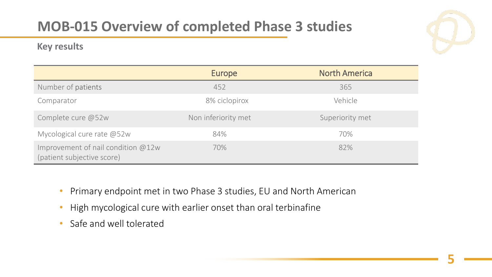# **MOB-015 Overview of completed Phase 3 studies**

#### **Key results**



|                                                                    | Europe              | <b>North America</b> |
|--------------------------------------------------------------------|---------------------|----------------------|
| Number of patients                                                 | 452                 | 365                  |
| Comparator                                                         | 8% ciclopirox       | Vehicle              |
| Complete cure @52w                                                 | Non inferiority met | Superiority met      |
| Mycological cure rate @52w                                         | 84%                 | 70%                  |
| Improvement of nail condition $@12w$<br>(patient subjective score) | 70%                 | 82%                  |

- Primary endpoint met in two Phase 3 studies, EU and North American
- High mycological cure with earlier onset than oral terbinafine
- Safe and well tolerated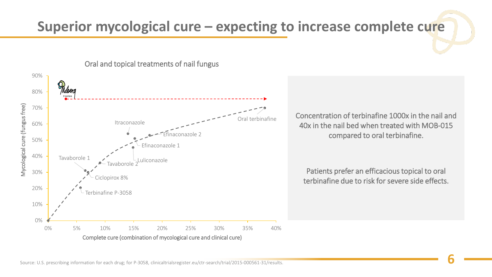### **Superior mycological cure – expecting to increase complete cure**



Oral and topical treatments of nail fungus

Concentration of terbinafine 1000x in the nail and 40x in the nail bed when treated with MOB-015 compared to oral terbinafine.

Patients prefer an efficacious topical to oral terbinafine due to risk for severe side effects.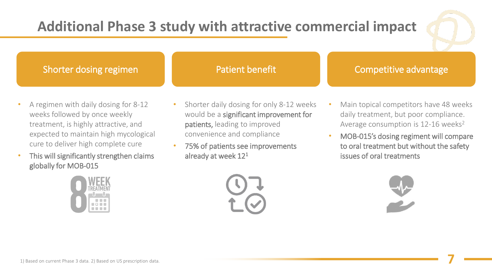### **Additional Phase 3 study with attractive commercial impact**



**7**

#### Shorter dosing regimen

#### Patient benefit Competitive advantage

- A regimen with daily dosing for 8-12 weeks followed by once weekly treatment, is highly attractive, and expected to maintain high mycological cure to deliver high complete cure
- This will significantly strengthen claims globally for MOB-015



- Shorter daily dosing for only 8-12 weeks would be a significant improvement for patients, leading to improved convenience and compliance
- 75% of patients see improvements already at week 12<sup>1</sup>
- Main topical competitors have 48 weeks daily treatment, but poor compliance. Average consumption is  $12-16$  weeks<sup>2</sup>
- MOB-015's dosing regiment will compare to oral treatment but without the safety issues of oral treatments

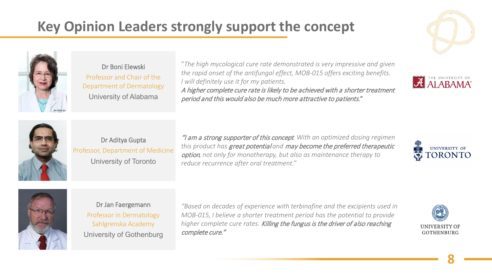# **Key Opinion Leaders strongly support the concept**



Dr Boni Elewski Professor and Chair of the Department of Dermatology University of Alabama

"*The high mycological cure rate demonstrated is very impressive and given the rapid onset of the antifungal effect, MOB-015 offers exciting benefits. I will definitely use it for my patients.* A higher complete cure rate is likely to be achieved with a shorter treatment period and this would also be much more attractive to patients."







Dr Aditya Gupta Professor, Department of Medicine University of Toronto

"I am a strong supporter of this concept*. With an optimized dosing regimen this product has* great potential *and* may become the preferred therapeutic option*, not only for monotherapy, but also as maintenance therapy to reduce recurrence after oral treatment."*





#### Dr Jan Faergemann

Professor in Dermatology Sahlgrenska Academy University of Gothenburg

*"Based on decades of experience with terbinafine and the excipients used in MOB-015, I believe a shorter treatment period has the potential to provide higher complete cure rates.* Killing the fungus is the driver of also reaching complete cure."

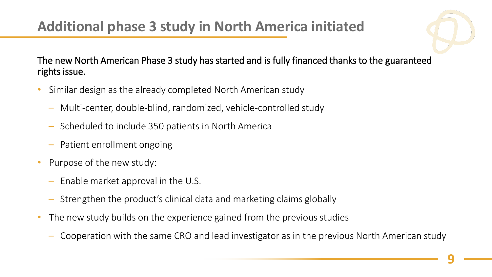

#### The new North American Phase 3 study has started and is fully financed thanks to the guaranteed rights issue.

- Similar design as the already completed North American study
	- Multi-center, double-blind, randomized, vehicle-controlled study
	- Scheduled to include 350 patients in North America
	- Patient enrollment ongoing
- Purpose of the new study:
	- Enable market approval in the U.S.
	- Strengthen the product's clinical data and marketing claims globally
- The new study builds on the experience gained from the previous studies
	- Cooperation with the same CRO and lead investigator as in the previous North American study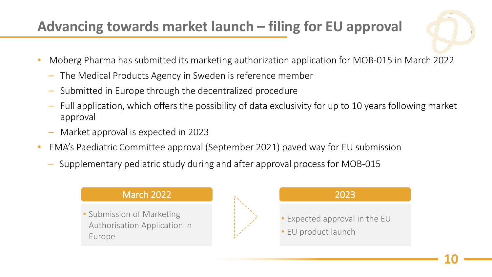# **Advancing towards market launch – filing for EU approval**



- Moberg Pharma has submitted its marketing authorization application for MOB-015 in March 2022
	- The Medical Products Agency in Sweden is reference member
	- Submitted in Europe through the decentralized procedure
	- Full application, which offers the possibility of data exclusivity for up to 10 years following market approval
	- Market approval is expected in 2023
- EMA's Paediatric Committee approval (September 2021) paved way for EU submission
	- Supplementary pediatric study during and after approval process for MOB-015

#### March 2022

• Submission of Marketing Authorisation Application in Europe



### 2023 Expected approval in the EU EU product launch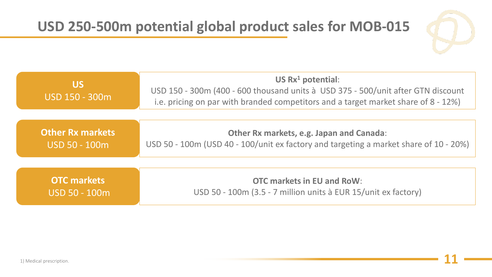

| <b>US</b><br>USD 150 - 300m                          | US $Rx^1$ potential:<br>USD 150 - 300m (400 - 600 thousand units à USD 375 - 500/unit after GTN discount<br>i.e. pricing on par with branded competitors and a target market share of 8 - 12%) |
|------------------------------------------------------|------------------------------------------------------------------------------------------------------------------------------------------------------------------------------------------------|
|                                                      |                                                                                                                                                                                                |
| <b>Other Rx markets</b><br><u> IUSD 50 - 100m </u>   | Other Rx markets, e.g. Japan and Canada:<br>USD 50 - 100m (USD 40 - 100/unit ex factory and targeting a market share of 10 - 20%)                                                              |
|                                                      |                                                                                                                                                                                                |
| <b>OTC</b> markets<br>$ {\sf USD}$ 50 - $100{\sf m}$ | <b>OTC markets in EU and RoW:</b><br>USD 50 - 100m (3.5 - 7 million units à EUR 15/unit ex factory)                                                                                            |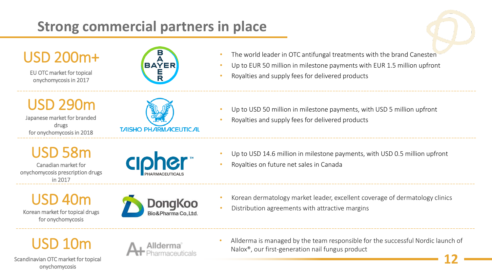### **Strong commercial partners in place**



USD 200m+

EU OTC market for topical onychomycosis in 2017



- The world leader in OTC antifungal treatments with the brand Canesten
- Up to EUR 50 million in milestone payments with EUR 1.5 million upfront
- Royalties and supply fees for delivered products

USD 290m

Japanese market for branded drugs for onychomycosis in 2018



- Up to USD 50 million in milestone payments, with USD 5 million upfront
- Royalties and supply fees for delivered products

USD 58m Canadian market for

onychomycosis prescription drugs in 2017

- Up to USD 14.6 million in milestone payments, with USD 0.5 million upfront
- Royalties on future net sales in Canada

USD 40m

Korean market for topical drugs for onychomycosis



- Korean dermatology market leader, excellent coverage of dermatology clinics
- Distribution agreements with attractive margins



Scandinavian OTC market for topical onychomycosis



• Allderma is managed by the team responsible for the successful Nordic launch of Nalox®, our first-generation nail fungus product

**12**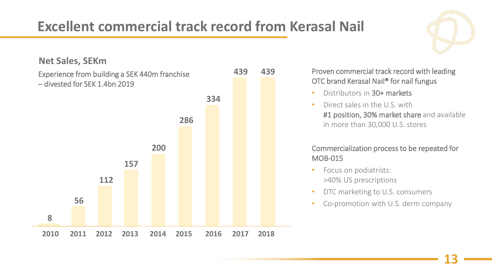## **Excellent commercial track record from Kerasal Nail**

**Net Sales, SEKm**

Experience from building a SEK 440m franchise



**439** Proven commercial track record with leading OTC brand Kerasal Nail® for nail fungus

- Distributors in 30+ markets
- Direct sales in the U.S. with #1 position, 30% market share and available in more than 30,000 U.S. stores

#### Commercialization process to be repeated for MOB-015

- Focus on podiatrists: >40% US prescriptions
- DTC marketing to U.S. consumers
- Co-promotion with U.S. derm company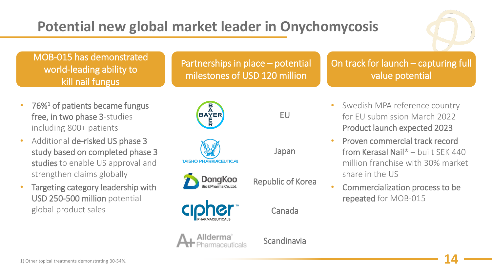# **Potential new global market leader in Onychomycosis**



#### MOB-015 has demonstrated world-leading ability to kill nail fungus

- $76\%$ <sup>1</sup> of patients became fungus free, in two phase 3-studies including 800+ patients
- Additional de-risked US phase 3 study based on completed phase 3 studies to enable US approval and strengthen claims globally
- Targeting category leadership with USD 250-500 million potential global product sales



#### On track for launch – capturing full value potential



EU

Japan

Republic of Korea



**TAISHO PHARMACEUTICAL** 

**DongKoo** 

Canada



Scandinavia

- Swedish MPA reference country for EU submission March 2022 Product launch expected 2023
- Proven commercial track record from Kerasal Nail® – built SEK 440 million franchise with 30% market share in the US
- Commercialization process to be repeated for MOB-015